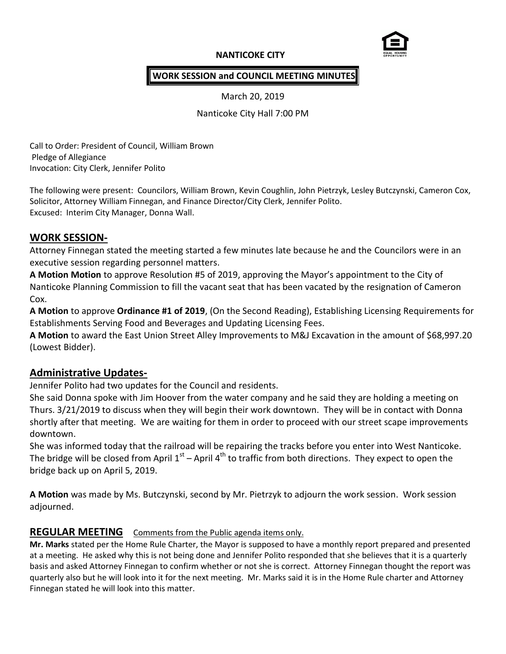# **NANTICOKE CITY**



## **WORK SESSION and COUNCIL MEETING MINUTES**

March 20, 2019

Nanticoke City Hall 7:00 PM

Call to Order: President of Council, William Brown Pledge of Allegiance Invocation: City Clerk, Jennifer Polito

The following were present: Councilors, William Brown, Kevin Coughlin, John Pietrzyk, Lesley Butczynski, Cameron Cox, Solicitor, Attorney William Finnegan, and Finance Director/City Clerk, Jennifer Polito. Excused: Interim City Manager, Donna Wall.

## **WORK SESSION-**

Attorney Finnegan stated the meeting started a few minutes late because he and the Councilors were in an executive session regarding personnel matters.

**A Motion Motion** to approve Resolution #5 of 2019, approving the Mayor's appointment to the City of Nanticoke Planning Commission to fill the vacant seat that has been vacated by the resignation of Cameron Cox.

**A Motion** to approve **Ordinance #1 of 2019**, (On the Second Reading), Establishing Licensing Requirements for Establishments Serving Food and Beverages and Updating Licensing Fees.

**A Motion** to award the East Union Street Alley Improvements to M&J Excavation in the amount of \$68,997.20 (Lowest Bidder).

# **Administrative Updates-**

Jennifer Polito had two updates for the Council and residents.

She said Donna spoke with Jim Hoover from the water company and he said they are holding a meeting on Thurs. 3/21/2019 to discuss when they will begin their work downtown. They will be in contact with Donna shortly after that meeting. We are waiting for them in order to proceed with our street scape improvements downtown.

She was informed today that the railroad will be repairing the tracks before you enter into West Nanticoke. The bridge will be closed from April 1<sup>st</sup> – April 4<sup>th</sup> to traffic from both directions. They expect to open the bridge back up on April 5, 2019.

**A Motion** was made by Ms. Butczynski, second by Mr. Pietrzyk to adjourn the work session. Work session adjourned.

# **REGULAR MEETING** Comments from the Public agenda items only.

**Mr. Marks** stated per the Home Rule Charter, the Mayor is supposed to have a monthly report prepared and presented at a meeting. He asked why this is not being done and Jennifer Polito responded that she believes that it is a quarterly basis and asked Attorney Finnegan to confirm whether or not she is correct. Attorney Finnegan thought the report was quarterly also but he will look into it for the next meeting. Mr. Marks said it is in the Home Rule charter and Attorney Finnegan stated he will look into this matter.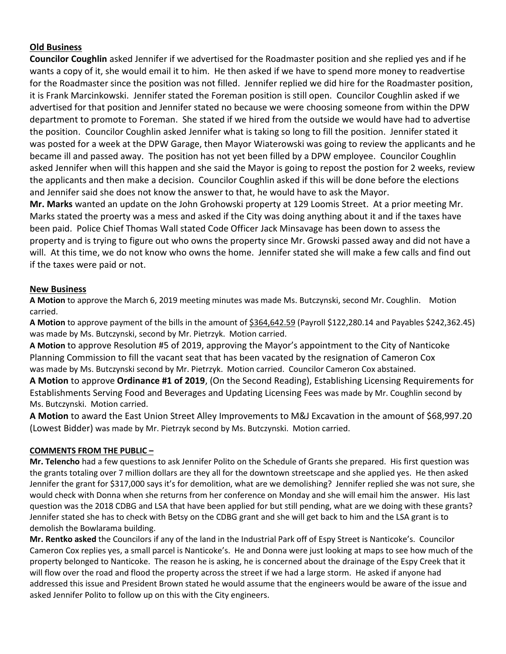## **Old Business**

**Councilor Coughlin** asked Jennifer if we advertised for the Roadmaster position and she replied yes and if he wants a copy of it, she would email it to him. He then asked if we have to spend more money to readvertise for the Roadmaster since the position was not filled. Jennifer replied we did hire for the Roadmaster position, it is Frank Marcinkowski. Jennifer stated the Foreman position is still open. Councilor Coughlin asked if we advertised for that position and Jennifer stated no because we were choosing someone from within the DPW department to promote to Foreman. She stated if we hired from the outside we would have had to advertise the position. Councilor Coughlin asked Jennifer what is taking so long to fill the position. Jennifer stated it was posted for a week at the DPW Garage, then Mayor Wiaterowski was going to review the applicants and he became ill and passed away. The position has not yet been filled by a DPW employee. Councilor Coughlin asked Jennifer when will this happen and she said the Mayor is going to repost the postion for 2 weeks, review the applicants and then make a decision. Councilor Coughlin asked if this will be done before the elections and Jennifer said she does not know the answer to that, he would have to ask the Mayor.

**Mr. Marks** wanted an update on the John Grohowski property at 129 Loomis Street. At a prior meeting Mr. Marks stated the proerty was a mess and asked if the City was doing anything about it and if the taxes have been paid. Police Chief Thomas Wall stated Code Officer Jack Minsavage has been down to assess the property and is trying to figure out who owns the property since Mr. Growski passed away and did not have a will. At this time, we do not know who owns the home. Jennifer stated she will make a few calls and find out if the taxes were paid or not.

### **New Business**

**A Motion** to approve the March 6, 2019 meeting minutes was made Ms. Butczynski, second Mr. Coughlin. Motion carried.

**A Motion** to approve payment of the bills in the amount of  $\frac{6364,642.59}{2}$  (Payroll \$122,280.14 and Payables \$242,362.45) was made by Ms. Butczynski, second by Mr. Pietrzyk. Motion carried.

**A Motion** to approve Resolution #5 of 2019, approving the Mayor's appointment to the City of Nanticoke Planning Commission to fill the vacant seat that has been vacated by the resignation of Cameron Cox was made by Ms. Butczynski second by Mr. Pietrzyk. Motion carried. Councilor Cameron Cox abstained.

**A Motion** to approve **Ordinance #1 of 2019**, (On the Second Reading), Establishing Licensing Requirements for Establishments Serving Food and Beverages and Updating Licensing Fees was made by Mr. Coughlin second by Ms. Butczynski. Motion carried.

**A Motion** to award the East Union Street Alley Improvements to M&J Excavation in the amount of \$68,997.20 (Lowest Bidder) was made by Mr. Pietrzyk second by Ms. Butczynski. Motion carried.

### **COMMENTS FROM THE PUBLIC –**

**Mr. Telencho** had a few questions to ask Jennifer Polito on the Schedule of Grants she prepared. His first question was the grants totaling over 7 million dollars are they all for the downtown streetscape and she applied yes. He then asked Jennifer the grant for \$317,000 says it's for demolition, what are we demolishing? Jennifer replied she was not sure, she would check with Donna when she returns from her conference on Monday and she will email him the answer. His last question was the 2018 CDBG and LSA that have been applied for but still pending, what are we doing with these grants? Jennifer stated she has to check with Betsy on the CDBG grant and she will get back to him and the LSA grant is to demolish the Bowlarama building.

**Mr. Rentko asked** the Councilors if any of the land in the Industrial Park off of Espy Street is Nanticoke's. Councilor Cameron Cox replies yes, a small parcel is Nanticoke's. He and Donna were just looking at maps to see how much of the property belonged to Nanticoke. The reason he is asking, he is concerned about the drainage of the Espy Creek that it will flow over the road and flood the property across the street if we had a large storm. He asked if anyone had addressed this issue and President Brown stated he would assume that the engineers would be aware of the issue and asked Jennifer Polito to follow up on this with the City engineers.